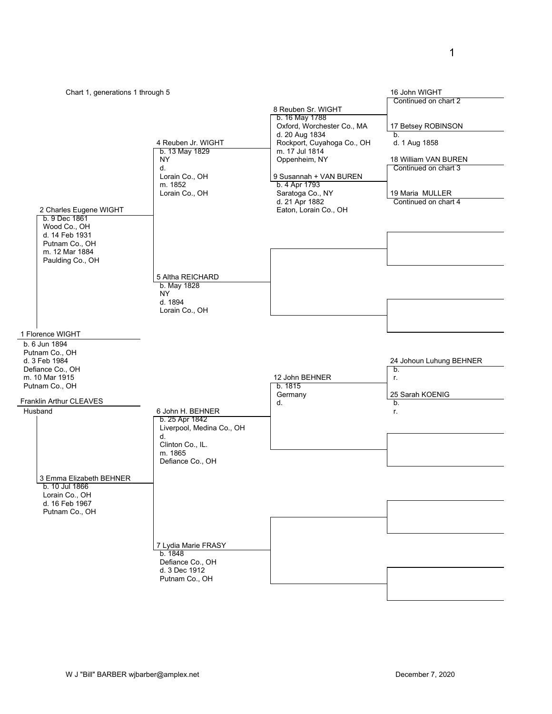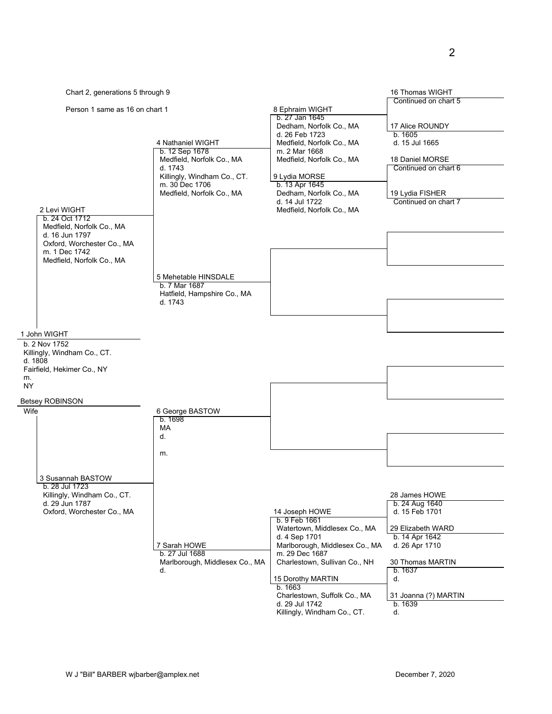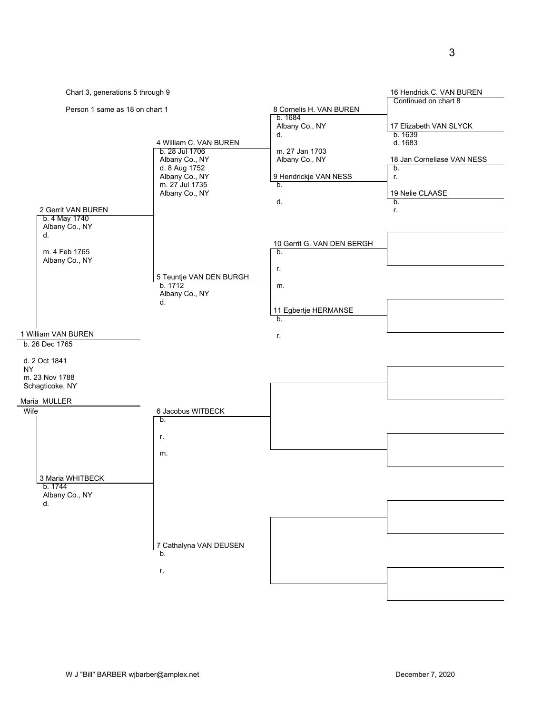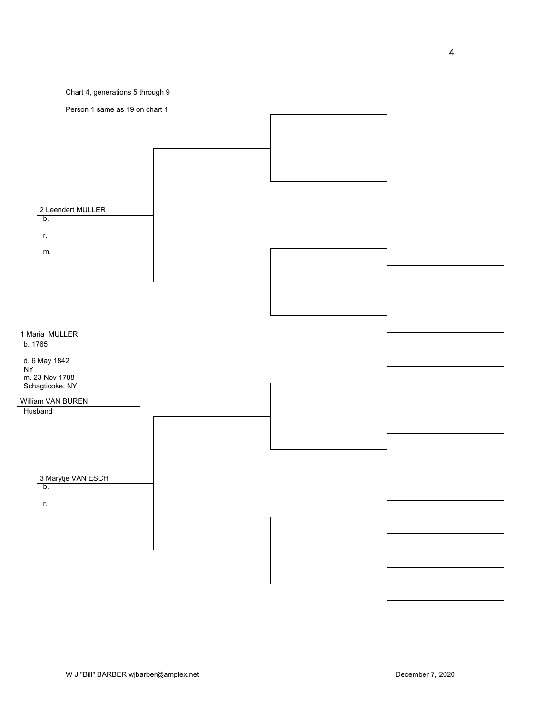

4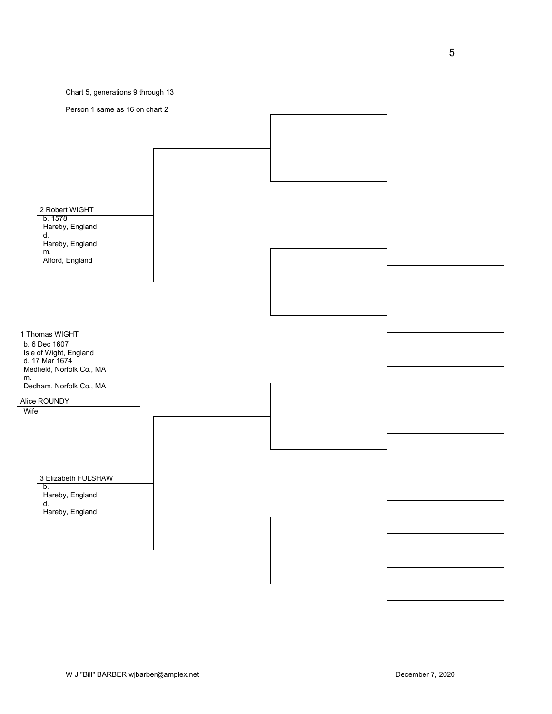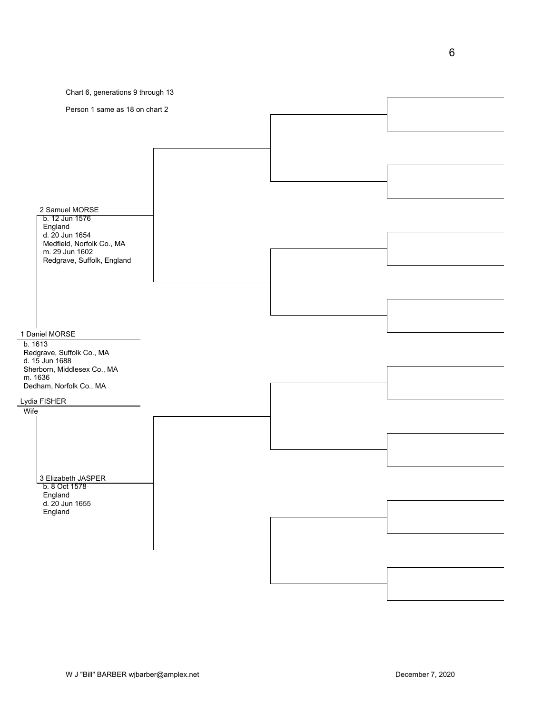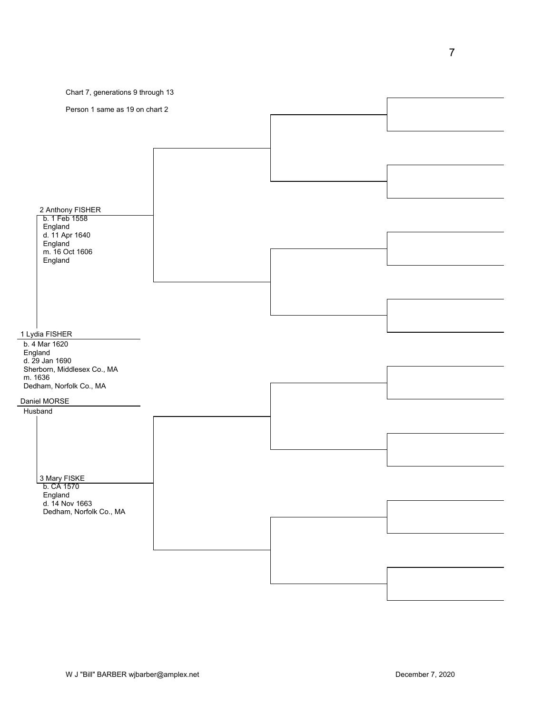